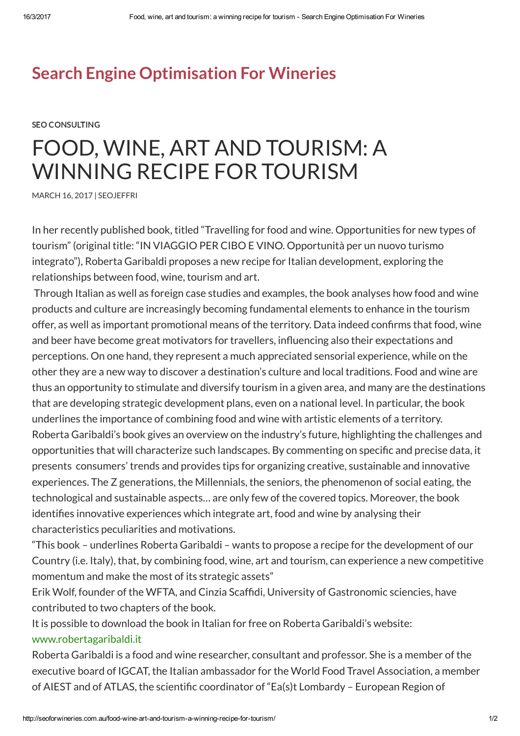## Search Engine [Optimisation](http://seoforwineries.com.au/) For Wineries

SEO [CONSULTING](http://seoforwineries.com.au/category/seo-consulting/)

## FOOD, WINE, ART AND TOURISM: A WINNING RECIPE FOR TOURISM

[MARCH](http://seoforwineries.com.au/food-wine-art-and-tourism-a-winning-recipe-for-tourism/) 16, 2017 | [SEOJEFFRI](http://seoforwineries.com.au/author/seojeffri/)

In her recently published book, titled "Travelling for food and wine. Opportunities for new types of tourism" (original title: "IN VIAGGIO PER CIBO E VINO. Opportunità per un nuovo turismo integrato"), Roberta Garibaldi proposes a new recipe for Italian development, exploring the relationships between food, wine, tourism and art.

Through Italian as well as foreign case studies and examples, the book analyses how food and wine products and culture are increasingly becoming fundamental elements to enhance in the tourism offer, as well as important promotional means of the territory. Data indeed confirms that food, wine and beer have become great motivators for travellers, influencing also their expectations and perceptions. On one hand, they represent a much appreciated sensorial experience, while on the other they are a new way to discover a destination's culture and local traditions. Food and wine are thus an opportunity to stimulate and diversify tourism in a given area, and many are the destinations that are developing strategic development plans, even on a national level. In particular, the book underlines the importance of combining food and wine with artistic elements of a territory. Roberta Garibaldi's book gives an overview on the industry's future, highlighting the challenges and opportunities that will characterize such landscapes. By commenting on specific and precise data, it presents consumers' trends and provides tips for organizing creative, sustainable and innovative experiences. The Z generations, the Millennials, the seniors, the phenomenon of social eating, the technological and sustainable aspects… are only few of the covered topics. Moreover, the book identifies innovative experiences which integrate art, food and wine by analysing their characteristics peculiarities and motivations.

"This book – underlines Roberta Garibaldi – wants to propose a recipe for the development of our Country (i.e. Italy), that, by combining food, wine, art and tourism, can experience a new competitive momentum and make the most of its strategic assets"

Erik Wolf, founder of the WFTA, and Cinzia Scaffidi, University of Gastronomic sciencies, have contributed to two chapters of the book.

It is possible to download the book in Italian for free on Roberta Garibaldi's website:

## [www.robertagaribaldi.it](http://www.robertagaribaldi.it/)

Roberta Garibaldi is a food and wine researcher, consultant and professor. She is a member of the executive board of IGCAT, the Italian ambassador for the World Food Travel Association, a member of AIEST and of ATLAS, the scientific coordinator of "Ea(s)t Lombardy – European Region of